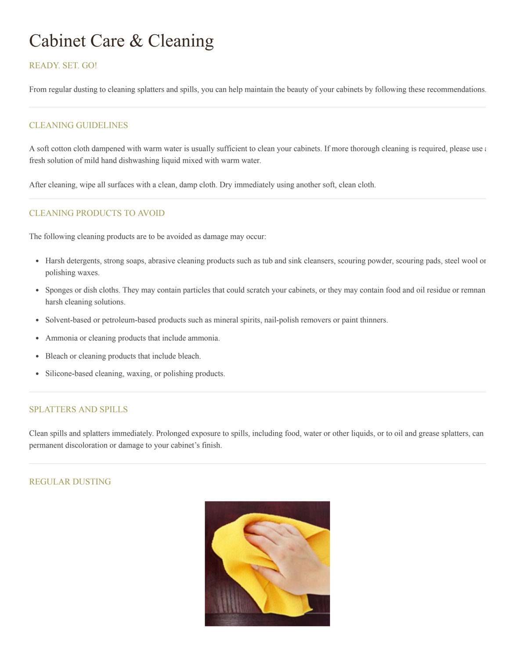# Cabinet Care & Cleaning

# READY. SET. GO!

From regular dusting to cleaning splatters and spills, you can help maintain the beauty of your cabinets by following these recommendations.

# CLEANING GUIDELINES

A soft cotton cloth dampened with warm water is usually sufficient to clean your cabinets. If more thorough cleaning is required, please use a fresh solution of mild hand dishwashing liquid mixed with warm water.

After cleaning, wipe all surfaces with a clean, damp cloth. Dry immediately using another soft, clean cloth.

## CLEANING PRODUCTS TO AVOID

The following cleaning products are to be avoided as damage may occur:

- Harsh detergents, strong soaps, abrasive cleaning products such as tub and sink cleansers, scouring powder, scouring pads, steel wool or polishing waxes.
- Sponges or dish cloths. They may contain particles that could scratch your cabinets, or they may contain food and oil residue or remnan harsh cleaning solutions.
- Solvent-based or petroleum-based products such as mineral spirits, nail-polish removers or paint thinners.
- Ammonia or cleaning products that include ammonia.
- Bleach or cleaning products that include bleach.
- Silicone-based cleaning, waxing, or polishing products.

#### SPLATTERS AND SPILLS

Clean spills and splatters immediately. Prolonged exposure to spills, including food, water or other liquids, or to oil and grease splatters, can permanent discoloration or damage to your cabinet's finish.

## REGULAR DUSTING